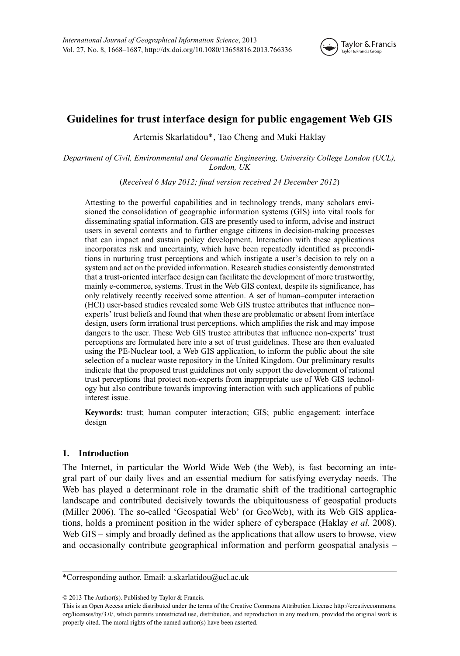

# **Guidelines for trust interface design for public engagement Web GIS**

Artemis Skarlatidou\*, Tao Cheng and Muki Haklay

*Department of Civil, Environmental and Geomatic Engineering, University College London (UCL), London, UK*

(*Received 6 May 2012; final version received 24 December 2012*)

Attesting to the powerful capabilities and in technology trends, many scholars envisioned the consolidation of geographic information systems (GIS) into vital tools for disseminating spatial information. GIS are presently used to inform, advise and instruct users in several contexts and to further engage citizens in decision-making processes that can impact and sustain policy development. Interaction with these applications incorporates risk and uncertainty, which have been repeatedly identified as preconditions in nurturing trust perceptions and which instigate a user's decision to rely on a system and act on the provided information. Research studies consistently demonstrated that a trust-oriented interface design can facilitate the development of more trustworthy, mainly e-commerce, systems. Trust in the Web GIS context, despite its significance, has only relatively recently received some attention. A set of human–computer interaction (HCI) user-based studies revealed some Web GIS trustee attributes that influence non– experts' trust beliefs and found that when these are problematic or absent from interface design, users form irrational trust perceptions, which amplifies the risk and may impose dangers to the user. These Web GIS trustee attributes that influence non-experts' trust perceptions are formulated here into a set of trust guidelines. These are then evaluated using the PE-Nuclear tool, a Web GIS application, to inform the public about the site selection of a nuclear waste repository in the United Kingdom. Our preliminary results indicate that the proposed trust guidelines not only support the development of rational trust perceptions that protect non-experts from inappropriate use of Web GIS technology but also contribute towards improving interaction with such applications of public interest issue.

**Keywords:** trust; human–computer interaction; GIS; public engagement; interface design

# **1. Introduction**

The Internet, in particular the World Wide Web (the Web), is fast becoming an integral part of our daily lives and an essential medium for satisfying everyday needs. The Web has played a determinant role in the dramatic shift of the traditional cartographic landscape and contributed decisively towards the ubiquitousness of geospatial products (Miller 2006). The so-called 'Geospatial Web' (or GeoWeb), with its Web GIS applications, holds a prominent position in the wider sphere of cyberspace (Haklay *et al.* 2008). Web GIS – simply and broadly defined as the applications that allow users to browse, view and occasionally contribute geographical information and perform geospatial analysis –

© 2013 The Author(s). Published by Taylor & Francis.

<sup>\*</sup>Corresponding author. Email: a.skarlatidou@ucl.ac.uk

This is an Open Access article distributed under the terms of the Creative Commons Attribution License http://creativecommons. org/licenses/by/3.0/, which permits unrestricted use, distribution, and reproduction in any medium, provided the original work is properly cited. The moral rights of the named author(s) have been asserted.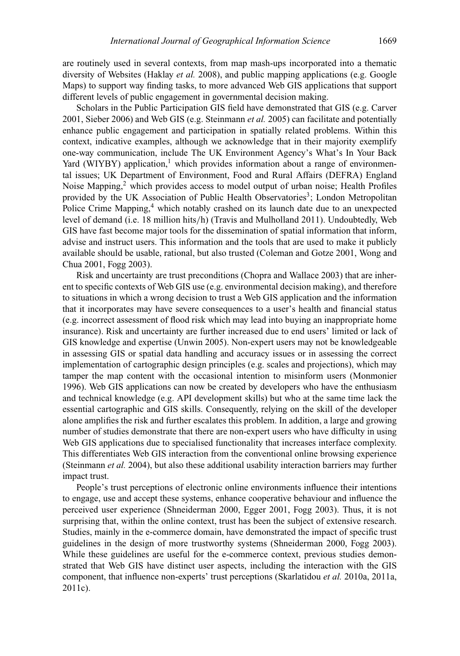are routinely used in several contexts, from map mash-ups incorporated into a thematic diversity of Websites (Haklay *et al.* 2008), and public mapping applications (e.g. Google Maps) to support way finding tasks, to more advanced Web GIS applications that support different levels of public engagement in governmental decision making.

Scholars in the Public Participation GIS field have demonstrated that GIS (e.g. Carver 2001, Sieber 2006) and Web GIS (e.g. Steinmann *et al.* 2005) can facilitate and potentially enhance public engagement and participation in spatially related problems. Within this context, indicative examples, although we acknowledge that in their majority exemplify one-way communication, include The UK Environment Agency's What's In Your Back Yard (WIYBY) application,<sup>1</sup> which provides information about a range of environmental issues; UK Department of Environment, Food and Rural Affairs (DEFRA) England Noise Mapping, $<sup>2</sup>$  which provides access to model output of urban noise; Health Profiles</sup> provided by the UK Association of Public Health Observatories<sup>3</sup>; London Metropolitan Police Crime Mapping,<sup>4</sup> which notably crashed on its launch date due to an unexpected level of demand (i.e. 18 million hits*/*h) (Travis and Mulholland 2011). Undoubtedly, Web GIS have fast become major tools for the dissemination of spatial information that inform, advise and instruct users. This information and the tools that are used to make it publicly available should be usable, rational, but also trusted (Coleman and Gotze 2001, Wong and Chua 2001, Fogg 2003).

Risk and uncertainty are trust preconditions (Chopra and Wallace 2003) that are inherent to specific contexts of Web GIS use (e.g. environmental decision making), and therefore to situations in which a wrong decision to trust a Web GIS application and the information that it incorporates may have severe consequences to a user's health and financial status (e.g. incorrect assessment of flood risk which may lead into buying an inappropriate home insurance). Risk and uncertainty are further increased due to end users' limited or lack of GIS knowledge and expertise (Unwin 2005). Non-expert users may not be knowledgeable in assessing GIS or spatial data handling and accuracy issues or in assessing the correct implementation of cartographic design principles (e.g. scales and projections), which may tamper the map content with the occasional intention to misinform users (Monmonier 1996). Web GIS applications can now be created by developers who have the enthusiasm and technical knowledge (e.g. API development skills) but who at the same time lack the essential cartographic and GIS skills. Consequently, relying on the skill of the developer alone amplifies the risk and further escalates this problem. In addition, a large and growing number of studies demonstrate that there are non-expert users who have difficulty in using Web GIS applications due to specialised functionality that increases interface complexity. This differentiates Web GIS interaction from the conventional online browsing experience (Steinmann *et al.* 2004), but also these additional usability interaction barriers may further impact trust.

People's trust perceptions of electronic online environments influence their intentions to engage, use and accept these systems, enhance cooperative behaviour and influence the perceived user experience (Shneiderman 2000, Egger 2001, Fogg 2003). Thus, it is not surprising that, within the online context, trust has been the subject of extensive research. Studies, mainly in the e-commerce domain, have demonstrated the impact of specific trust guidelines in the design of more trustworthy systems (Shneiderman 2000, Fogg 2003). While these guidelines are useful for the e-commerce context, previous studies demonstrated that Web GIS have distinct user aspects, including the interaction with the GIS component, that influence non-experts' trust perceptions (Skarlatidou *et al.* 2010a, 2011a, 2011c).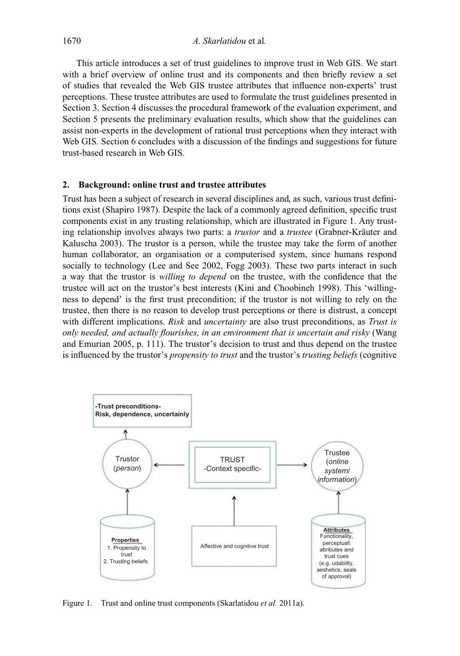This article introduces a set of trust guidelines to improve trust in Web GIS. We start with a brief overview of online trust and its components and then briefly review a set of studies that revealed the Web GIS trustee attributes that influence non-experts' trust perceptions. These trustee attributes are used to formulate the trust guidelines presented in Section 3. Section 4 discusses the procedural framework of the evaluation experiment, and Section 5 presents the preliminary evaluation results, which show that the guidelines can assist non-experts in the development of rational trust perceptions when they interact with Web GIS. Section 6 concludes with a discussion of the findings and suggestions for future trust-based research in Web GIS.

# **2. Background: online trust and trustee attributes**

Trust has been a subject of research in several disciplines and, as such, various trust definitions exist (Shapiro 1987). Despite the lack of a commonly agreed definition, specific trust components exist in any trusting relationship, which are illustrated in Figure 1. Any trusting relationship involves always two parts: a *trustor* and a *trustee* (Grabner-Kräuter and Kaluscha 2003). The trustor is a person, while the trustee may take the form of another human collaborator, an organisation or a computerised system, since humans respond socially to technology (Lee and See 2002, Fogg 2003). These two parts interact in such a way that the trustor is *willing to depend* on the trustee, with the confidence that the trustee will act on the trustor's best interests (Kini and Choobineh 1998). This 'willingness to depend' is the first trust precondition; if the trustor is not willing to rely on the trustee, then there is no reason to develop trust perceptions or there is distrust, a concept with different implications. *Risk* and *uncertainty* are also trust preconditions, as *Trust is only needed, and actually flourishes, in an environment that is uncertain and risky* (Wang and Emurian 2005, p. 111). The trustor's decision to trust and thus depend on the trustee is influenced by the trustor's *propensity to trust* and the trustor's *trusting beliefs* (cognitive



Figure 1. Trust and online trust components (Skarlatidou *et al.* 2011a).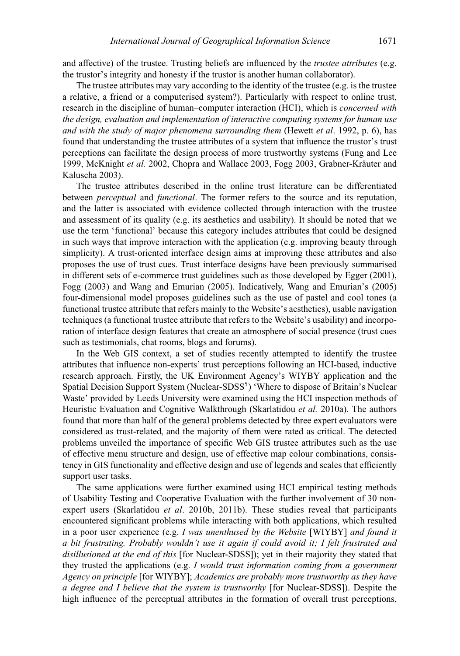and affective) of the trustee. Trusting beliefs are influenced by the *trustee attributes* (e.g. the trustor's integrity and honesty if the trustor is another human collaborator).

The trustee attributes may vary according to the identity of the trustee (e.g. is the trustee a relative, a friend or a computerised system?). Particularly with respect to online trust, research in the discipline of human–computer interaction (HCI), which is *concerned with the design, evaluation and implementation of interactive computing systems for human use and with the study of major phenomena surrounding them* (Hewett *et al*. 1992, p. 6), has found that understanding the trustee attributes of a system that influence the trustor's trust perceptions can facilitate the design process of more trustworthy systems (Fung and Lee 1999, McKnight *et al.* 2002, Chopra and Wallace 2003, Fogg 2003, Grabner-Kräuter and Kaluscha 2003).

The trustee attributes described in the online trust literature can be differentiated between *perceptual* and *functional*. The former refers to the source and its reputation, and the latter is associated with evidence collected through interaction with the trustee and assessment of its quality (e.g. its aesthetics and usability). It should be noted that we use the term 'functional' because this category includes attributes that could be designed in such ways that improve interaction with the application (e.g. improving beauty through simplicity). A trust-oriented interface design aims at improving these attributes and also proposes the use of trust cues. Trust interface designs have been previously summarised in different sets of e-commerce trust guidelines such as those developed by Egger (2001), Fogg (2003) and Wang and Emurian (2005). Indicatively, Wang and Emurian's (2005) four-dimensional model proposes guidelines such as the use of pastel and cool tones (a functional trustee attribute that refers mainly to the Website's aesthetics), usable navigation techniques (a functional trustee attribute that refers to the Website's usability) and incorporation of interface design features that create an atmosphere of social presence (trust cues such as testimonials, chat rooms, blogs and forums).

In the Web GIS context, a set of studies recently attempted to identify the trustee attributes that influence non-experts' trust perceptions following an HCI-based, inductive research approach. Firstly, the UK Environment Agency's WIYBY application and the Spatial Decision Support System (Nuclear-SDS $S^5$ ) 'Where to dispose of Britain's Nuclear Waste' provided by Leeds University were examined using the HCI inspection methods of Heuristic Evaluation and Cognitive Walkthrough (Skarlatidou *et al.* 2010a). The authors found that more than half of the general problems detected by three expert evaluators were considered as trust-related, and the majority of them were rated as critical. The detected problems unveiled the importance of specific Web GIS trustee attributes such as the use of effective menu structure and design, use of effective map colour combinations, consistency in GIS functionality and effective design and use of legends and scales that efficiently support user tasks.

The same applications were further examined using HCI empirical testing methods of Usability Testing and Cooperative Evaluation with the further involvement of 30 nonexpert users (Skarlatidou *et al*. 2010b, 2011b). These studies reveal that participants encountered significant problems while interacting with both applications, which resulted in a poor user experience (e.g. *I was unenthused by the Website* [WIYBY] *and found it a bit frustrating. Probably wouldn't use it again if could avoid it; I felt frustrated and disillusioned at the end of this* [for Nuclear-SDSS]); yet in their majority they stated that they trusted the applications (e.g. *I would trust information coming from a government Agency on principle* [for WIYBY]; *Academics are probably more trustworthy as they have a degree and I believe that the system is trustworthy* [for Nuclear-SDSS]). Despite the high influence of the perceptual attributes in the formation of overall trust perceptions,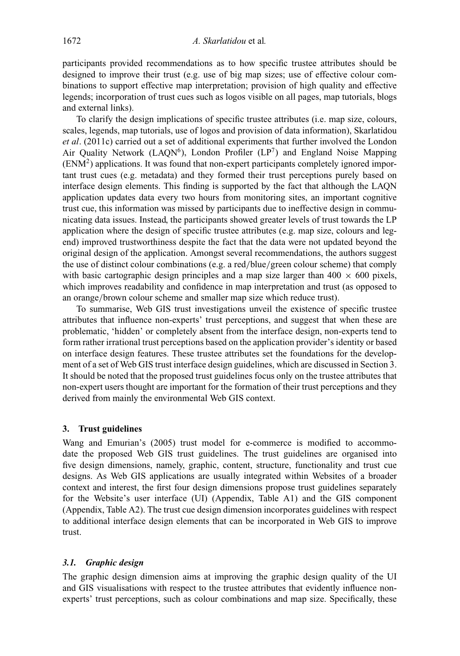participants provided recommendations as to how specific trustee attributes should be designed to improve their trust (e.g. use of big map sizes; use of effective colour combinations to support effective map interpretation; provision of high quality and effective legends; incorporation of trust cues such as logos visible on all pages, map tutorials, blogs and external links).

To clarify the design implications of specific trustee attributes (i.e. map size, colours, scales, legends, map tutorials, use of logos and provision of data information), Skarlatidou *et al*. (2011c) carried out a set of additional experiments that further involved the London Air Quality Network (LAQN<sup>6</sup>), London Profiler ( $LP<sup>7</sup>$ ) and England Noise Mapping  $(ENM<sup>2</sup>)$  applications. It was found that non-expert participants completely ignored important trust cues (e.g. metadata) and they formed their trust perceptions purely based on interface design elements. This finding is supported by the fact that although the LAQN application updates data every two hours from monitoring sites, an important cognitive trust cue, this information was missed by participants due to ineffective design in communicating data issues. Instead, the participants showed greater levels of trust towards the LP application where the design of specific trustee attributes (e.g. map size, colours and legend) improved trustworthiness despite the fact that the data were not updated beyond the original design of the application. Amongst several recommendations, the authors suggest the use of distinct colour combinations (e.g. a red*/*blue*/*green colour scheme) that comply with basic cartographic design principles and a map size larger than  $400 \times 600$  pixels, which improves readability and confidence in map interpretation and trust (as opposed to an orange*/*brown colour scheme and smaller map size which reduce trust).

To summarise, Web GIS trust investigations unveil the existence of specific trustee attributes that influence non-experts' trust perceptions, and suggest that when these are problematic, 'hidden' or completely absent from the interface design, non-experts tend to form rather irrational trust perceptions based on the application provider's identity or based on interface design features. These trustee attributes set the foundations for the development of a set of Web GIS trust interface design guidelines, which are discussed in Section 3. It should be noted that the proposed trust guidelines focus only on the trustee attributes that non-expert users thought are important for the formation of their trust perceptions and they derived from mainly the environmental Web GIS context.

# **3. Trust guidelines**

Wang and Emurian's (2005) trust model for e-commerce is modified to accommodate the proposed Web GIS trust guidelines. The trust guidelines are organised into five design dimensions, namely, graphic, content, structure, functionality and trust cue designs. As Web GIS applications are usually integrated within Websites of a broader context and interest, the first four design dimensions propose trust guidelines separately for the Website's user interface (UI) (Appendix, Table A1) and the GIS component (Appendix, Table A2). The trust cue design dimension incorporates guidelines with respect to additional interface design elements that can be incorporated in Web GIS to improve trust.

#### *3.1. Graphic design*

The graphic design dimension aims at improving the graphic design quality of the UI and GIS visualisations with respect to the trustee attributes that evidently influence nonexperts' trust perceptions, such as colour combinations and map size. Specifically, these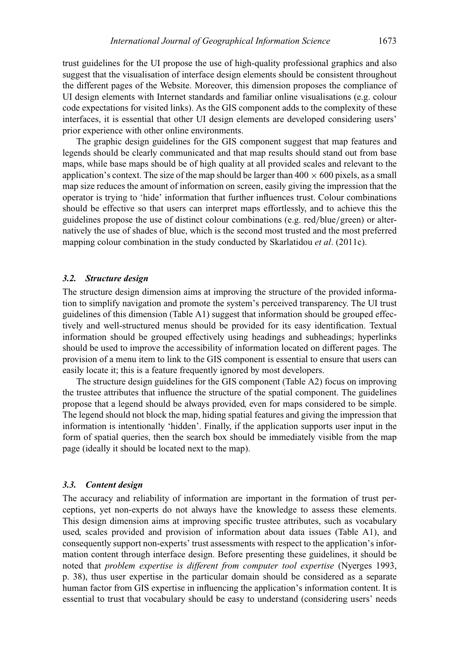trust guidelines for the UI propose the use of high-quality professional graphics and also suggest that the visualisation of interface design elements should be consistent throughout the different pages of the Website. Moreover, this dimension proposes the compliance of UI design elements with Internet standards and familiar online visualisations (e.g. colour code expectations for visited links). As the GIS component adds to the complexity of these interfaces, it is essential that other UI design elements are developed considering users' prior experience with other online environments.

The graphic design guidelines for the GIS component suggest that map features and legends should be clearly communicated and that map results should stand out from base maps, while base maps should be of high quality at all provided scales and relevant to the application's context. The size of the map should be larger than  $400 \times 600$  pixels, as a small map size reduces the amount of information on screen, easily giving the impression that the operator is trying to 'hide' information that further influences trust. Colour combinations should be effective so that users can interpret maps effortlessly, and to achieve this the guidelines propose the use of distinct colour combinations (e.g. red*/*blue*/*green) or alternatively the use of shades of blue, which is the second most trusted and the most preferred mapping colour combination in the study conducted by Skarlatidou *et al*. (2011c).

### *3.2. Structure design*

The structure design dimension aims at improving the structure of the provided information to simplify navigation and promote the system's perceived transparency. The UI trust guidelines of this dimension (Table A1) suggest that information should be grouped effectively and well-structured menus should be provided for its easy identification. Textual information should be grouped effectively using headings and subheadings; hyperlinks should be used to improve the accessibility of information located on different pages. The provision of a menu item to link to the GIS component is essential to ensure that users can easily locate it; this is a feature frequently ignored by most developers.

The structure design guidelines for the GIS component (Table A2) focus on improving the trustee attributes that influence the structure of the spatial component. The guidelines propose that a legend should be always provided, even for maps considered to be simple. The legend should not block the map, hiding spatial features and giving the impression that information is intentionally 'hidden'. Finally, if the application supports user input in the form of spatial queries, then the search box should be immediately visible from the map page (ideally it should be located next to the map).

### *3.3. Content design*

The accuracy and reliability of information are important in the formation of trust perceptions, yet non-experts do not always have the knowledge to assess these elements. This design dimension aims at improving specific trustee attributes, such as vocabulary used, scales provided and provision of information about data issues (Table A1), and consequently support non-experts' trust assessments with respect to the application's information content through interface design. Before presenting these guidelines, it should be noted that *problem expertise is different from computer tool expertise* (Nyerges 1993, p. 38), thus user expertise in the particular domain should be considered as a separate human factor from GIS expertise in influencing the application's information content. It is essential to trust that vocabulary should be easy to understand (considering users' needs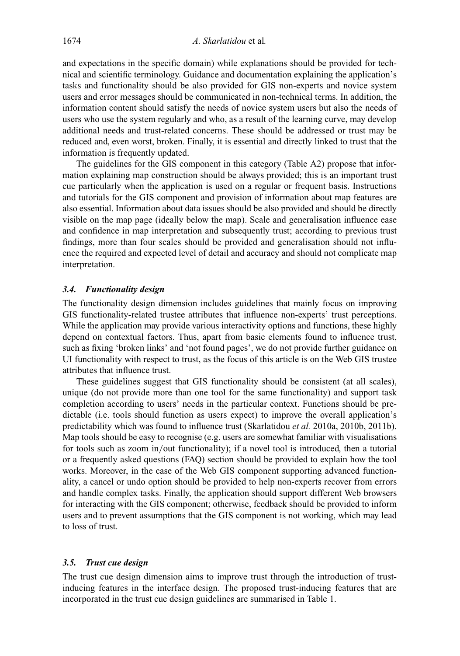and expectations in the specific domain) while explanations should be provided for technical and scientific terminology. Guidance and documentation explaining the application's tasks and functionality should be also provided for GIS non-experts and novice system users and error messages should be communicated in non-technical terms. In addition, the information content should satisfy the needs of novice system users but also the needs of users who use the system regularly and who, as a result of the learning curve, may develop additional needs and trust-related concerns. These should be addressed or trust may be reduced and, even worst, broken. Finally, it is essential and directly linked to trust that the information is frequently updated.

The guidelines for the GIS component in this category (Table A2) propose that information explaining map construction should be always provided; this is an important trust cue particularly when the application is used on a regular or frequent basis. Instructions and tutorials for the GIS component and provision of information about map features are also essential. Information about data issues should be also provided and should be directly visible on the map page (ideally below the map). Scale and generalisation influence ease and confidence in map interpretation and subsequently trust; according to previous trust findings, more than four scales should be provided and generalisation should not influence the required and expected level of detail and accuracy and should not complicate map interpretation.

# *3.4. Functionality design*

The functionality design dimension includes guidelines that mainly focus on improving GIS functionality-related trustee attributes that influence non-experts' trust perceptions. While the application may provide various interactivity options and functions, these highly depend on contextual factors. Thus, apart from basic elements found to influence trust, such as fixing 'broken links' and 'not found pages', we do not provide further guidance on UI functionality with respect to trust, as the focus of this article is on the Web GIS trustee attributes that influence trust.

These guidelines suggest that GIS functionality should be consistent (at all scales), unique (do not provide more than one tool for the same functionality) and support task completion according to users' needs in the particular context. Functions should be predictable (i.e. tools should function as users expect) to improve the overall application's predictability which was found to influence trust (Skarlatidou *et al.* 2010a, 2010b, 2011b). Map tools should be easy to recognise (e.g. users are somewhat familiar with visualisations for tools such as zoom in*/*out functionality); if a novel tool is introduced, then a tutorial or a frequently asked questions (FAQ) section should be provided to explain how the tool works. Moreover, in the case of the Web GIS component supporting advanced functionality, a cancel or undo option should be provided to help non-experts recover from errors and handle complex tasks. Finally, the application should support different Web browsers for interacting with the GIS component; otherwise, feedback should be provided to inform users and to prevent assumptions that the GIS component is not working, which may lead to loss of trust.

# *3.5. Trust cue design*

The trust cue design dimension aims to improve trust through the introduction of trustinducing features in the interface design. The proposed trust-inducing features that are incorporated in the trust cue design guidelines are summarised in Table 1.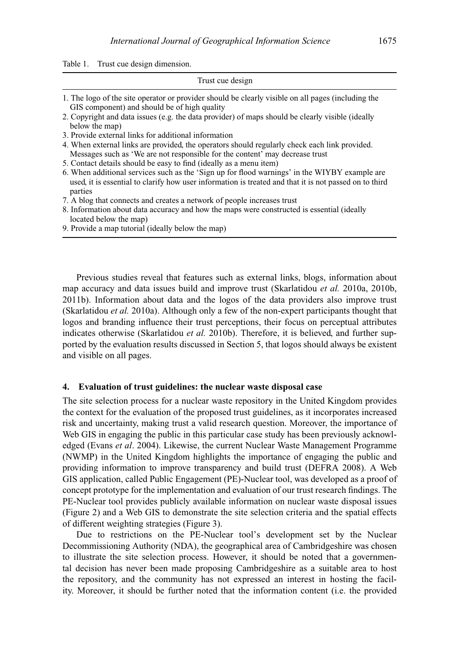Table 1. Trust cue design dimension.

| Trust cue design                                                                                                                                                                                                   |  |  |  |
|--------------------------------------------------------------------------------------------------------------------------------------------------------------------------------------------------------------------|--|--|--|
| 1. The logo of the site operator or provider should be clearly visible on all pages (including the<br>GIS component) and should be of high quality                                                                 |  |  |  |
| 2. Copyright and data issues (e.g. the data provider) of maps should be clearly visible (ideally<br>below the map)                                                                                                 |  |  |  |
| 3. Provide external links for additional information                                                                                                                                                               |  |  |  |
| 4. When external links are provided, the operators should regularly check each link provided.<br>Messages such as 'We are not responsible for the content' may decrease trust                                      |  |  |  |
| 5. Contact details should be easy to find (ideally as a menu item)                                                                                                                                                 |  |  |  |
| 6. When additional services such as the 'Sign up for flood warnings' in the WIYBY example are<br>used, it is essential to clarify how user information is treated and that it is not passed on to third<br>parties |  |  |  |
| 7. A blog that connects and creates a network of people increases trust                                                                                                                                            |  |  |  |
| 8. Information about data accuracy and how the maps were constructed is essential (ideally<br>located below the map)                                                                                               |  |  |  |
| 9. Provide a map tutorial (ideally below the map)                                                                                                                                                                  |  |  |  |

Previous studies reveal that features such as external links, blogs, information about map accuracy and data issues build and improve trust (Skarlatidou *et al.* 2010a, 2010b, 2011b). Information about data and the logos of the data providers also improve trust (Skarlatidou *et al.* 2010a). Although only a few of the non-expert participants thought that logos and branding influence their trust perceptions, their focus on perceptual attributes indicates otherwise (Skarlatidou *et al.* 2010b). Therefore, it is believed, and further supported by the evaluation results discussed in Section 5, that logos should always be existent and visible on all pages.

# **4. Evaluation of trust guidelines: the nuclear waste disposal case**

The site selection process for a nuclear waste repository in the United Kingdom provides the context for the evaluation of the proposed trust guidelines, as it incorporates increased risk and uncertainty, making trust a valid research question. Moreover, the importance of Web GIS in engaging the public in this particular case study has been previously acknowledged (Evans *et al*. 2004). Likewise, the current Nuclear Waste Management Programme (NWMP) in the United Kingdom highlights the importance of engaging the public and providing information to improve transparency and build trust (DEFRA 2008). A Web GIS application, called Public Engagement (PE)-Nuclear tool, was developed as a proof of concept prototype for the implementation and evaluation of our trust research findings. The PE-Nuclear tool provides publicly available information on nuclear waste disposal issues (Figure 2) and a Web GIS to demonstrate the site selection criteria and the spatial effects of different weighting strategies (Figure 3).

Due to restrictions on the PE-Nuclear tool's development set by the Nuclear Decommissioning Authority (NDA), the geographical area of Cambridgeshire was chosen to illustrate the site selection process. However, it should be noted that a governmental decision has never been made proposing Cambridgeshire as a suitable area to host the repository, and the community has not expressed an interest in hosting the facility. Moreover, it should be further noted that the information content (i.e. the provided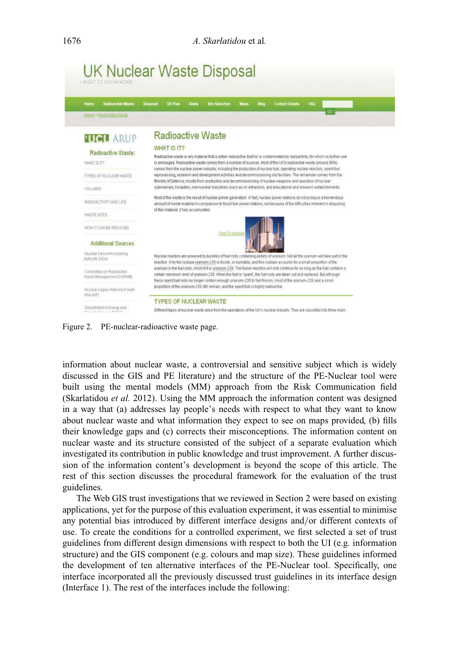

Figure 2. PE-nuclear-radioactive waste page.

information about nuclear waste, a controversial and sensitive subject which is widely discussed in the GIS and PE literature) and the structure of the PE-Nuclear tool were built using the mental models (MM) approach from the Risk Communication field (Skarlatidou *et al.* 2012). Using the MM approach the information content was designed in a way that (a) addresses lay people's needs with respect to what they want to know about nuclear waste and what information they expect to see on maps provided, (b) fills their knowledge gaps and (c) corrects their misconceptions. The information content on nuclear waste and its structure consisted of the subject of a separate evaluation which investigated its contribution in public knowledge and trust improvement. A further discussion of the information content's development is beyond the scope of this article. The rest of this section discusses the procedural framework for the evaluation of the trust guidelines.

The Web GIS trust investigations that we reviewed in Section 2 were based on existing applications, yet for the purpose of this evaluation experiment, it was essential to minimise any potential bias introduced by different interface designs and*/*or different contexts of use. To create the conditions for a controlled experiment, we first selected a set of trust guidelines from different design dimensions with respect to both the UI (e.g. information structure) and the GIS component (e.g. colours and map size). These guidelines informed the development of ten alternative interfaces of the PE-Nuclear tool. Specifically, one interface incorporated all the previously discussed trust guidelines in its interface design (Interface 1). The rest of the interfaces include the following: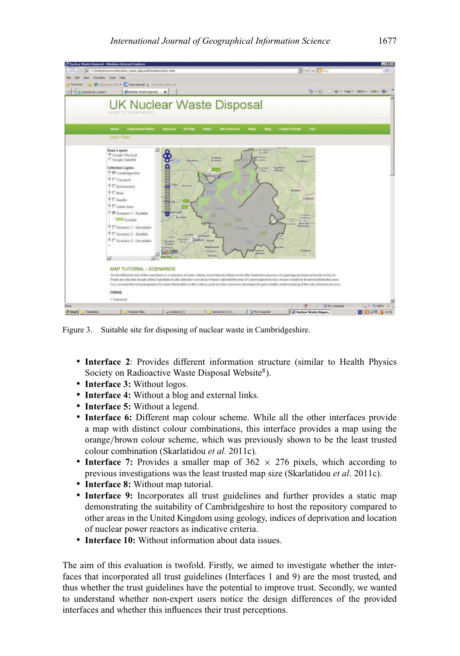![](_page_9_Figure_1.jpeg)

Figure 3. Suitable site for disposing of nuclear waste in Cambridgeshire.

- **Interface 2**: Provides different information structure (similar to Health Physics Society on Radioactive Waste Disposal Website<sup>8</sup>).
- **Interface 3:** Without logos.
- **Interface 4:** Without a blog and external links.
- **Interface 5:** Without a legend.
- **Interface 6:** Different map colour scheme. While all the other interfaces provide a map with distinct colour combinations, this interface provides a map using the orange*/*brown colour scheme, which was previously shown to be the least trusted colour combination (Skarlatidou *et al.* 2011c).
- **Interface 7:** Provides a smaller map of  $362 \times 276$  pixels, which according to previous investigations was the least trusted map size (Skarlatidou *et al*. 2011c).
- **Interface 8:** Without map tutorial.
- **Interface 9:** Incorporates all trust guidelines and further provides a static map demonstrating the suitability of Cambridgeshire to host the repository compared to other areas in the United Kingdom using geology, indices of deprivation and location of nuclear power reactors as indicative criteria.
- **Interface 10:** Without information about data issues.

The aim of this evaluation is twofold. Firstly, we aimed to investigate whether the interfaces that incorporated all trust guidelines (Interfaces 1 and 9) are the most trusted, and thus whether the trust guidelines have the potential to improve trust. Secondly, we wanted to understand whether non-expert users notice the design differences of the provided interfaces and whether this influences their trust perceptions.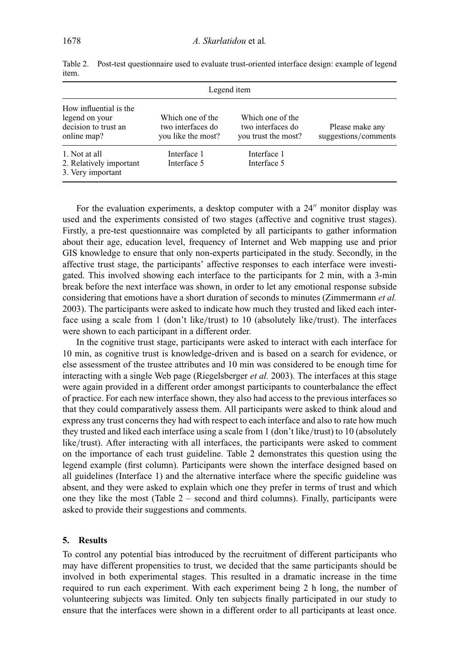| Legend item                                                                     |                                                             |                                                              |                                         |
|---------------------------------------------------------------------------------|-------------------------------------------------------------|--------------------------------------------------------------|-----------------------------------------|
| How influential is the<br>legend on your<br>decision to trust an<br>online map? | Which one of the<br>two interfaces do<br>you like the most? | Which one of the<br>two interfaces do<br>you trust the most? | Please make any<br>suggestions/comments |
| 1. Not at all<br>2. Relatively important<br>3. Very important                   | Interface 1<br>Interface 5                                  | Interface 1<br>Interface 5                                   |                                         |

Table 2. Post-test questionnaire used to evaluate trust-oriented interface design: example of legend item.

For the evaluation experiments, a desktop computer with a 24" monitor display was used and the experiments consisted of two stages (affective and cognitive trust stages). Firstly, a pre-test questionnaire was completed by all participants to gather information about their age, education level, frequency of Internet and Web mapping use and prior GIS knowledge to ensure that only non-experts participated in the study. Secondly, in the affective trust stage, the participants' affective responses to each interface were investigated. This involved showing each interface to the participants for 2 min, with a 3-min break before the next interface was shown, in order to let any emotional response subside considering that emotions have a short duration of seconds to minutes (Zimmermann *et al.* 2003). The participants were asked to indicate how much they trusted and liked each interface using a scale from 1 (don't like*/*trust) to 10 (absolutely like*/*trust). The interfaces were shown to each participant in a different order.

In the cognitive trust stage, participants were asked to interact with each interface for 10 min, as cognitive trust is knowledge-driven and is based on a search for evidence, or else assessment of the trustee attributes and 10 min was considered to be enough time for interacting with a single Web page (Riegelsberger *et al.* 2003). The interfaces at this stage were again provided in a different order amongst participants to counterbalance the effect of practice. For each new interface shown, they also had access to the previous interfaces so that they could comparatively assess them. All participants were asked to think aloud and express any trust concerns they had with respect to each interface and also to rate how much they trusted and liked each interface using a scale from 1 (don't like*/*trust) to 10 (absolutely like*/*trust). After interacting with all interfaces, the participants were asked to comment on the importance of each trust guideline. Table 2 demonstrates this question using the legend example (first column). Participants were shown the interface designed based on all guidelines (Interface 1) and the alternative interface where the specific guideline was absent, and they were asked to explain which one they prefer in terms of trust and which one they like the most (Table  $2$  – second and third columns). Finally, participants were asked to provide their suggestions and comments.

# **5. Results**

To control any potential bias introduced by the recruitment of different participants who may have different propensities to trust, we decided that the same participants should be involved in both experimental stages. This resulted in a dramatic increase in the time required to run each experiment. With each experiment being 2 h long, the number of volunteering subjects was limited. Only ten subjects finally participated in our study to ensure that the interfaces were shown in a different order to all participants at least once.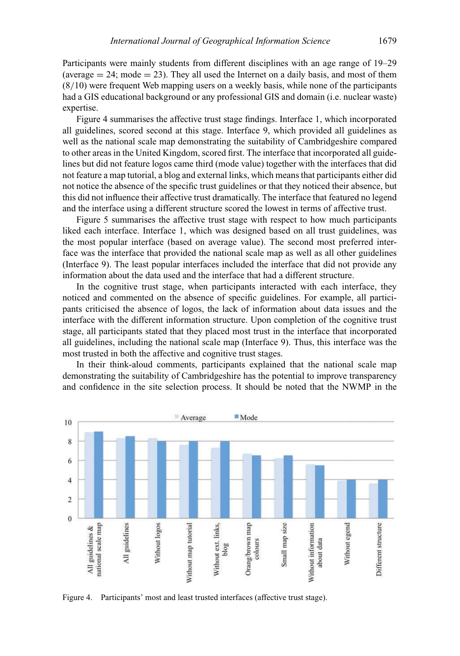Participants were mainly students from different disciplines with an age range of 19–29 (average  $= 24$ ; mode  $= 23$ ). They all used the Internet on a daily basis, and most of them (8*/*10) were frequent Web mapping users on a weekly basis, while none of the participants had a GIS educational background or any professional GIS and domain (i.e. nuclear waste) expertise.

Figure 4 summarises the affective trust stage findings. Interface 1, which incorporated all guidelines, scored second at this stage. Interface 9, which provided all guidelines as well as the national scale map demonstrating the suitability of Cambridgeshire compared to other areas in the United Kingdom, scored first. The interface that incorporated all guidelines but did not feature logos came third (mode value) together with the interfaces that did not feature a map tutorial, a blog and external links, which means that participants either did not notice the absence of the specific trust guidelines or that they noticed their absence, but this did not influence their affective trust dramatically. The interface that featured no legend and the interface using a different structure scored the lowest in terms of affective trust.

Figure 5 summarises the affective trust stage with respect to how much participants liked each interface. Interface 1, which was designed based on all trust guidelines, was the most popular interface (based on average value). The second most preferred interface was the interface that provided the national scale map as well as all other guidelines (Interface 9). The least popular interfaces included the interface that did not provide any information about the data used and the interface that had a different structure.

In the cognitive trust stage, when participants interacted with each interface, they noticed and commented on the absence of specific guidelines. For example, all participants criticised the absence of logos, the lack of information about data issues and the interface with the different information structure. Upon completion of the cognitive trust stage, all participants stated that they placed most trust in the interface that incorporated all guidelines, including the national scale map (Interface 9). Thus, this interface was the most trusted in both the affective and cognitive trust stages.

In their think-aloud comments, participants explained that the national scale map demonstrating the suitability of Cambridgeshire has the potential to improve transparency and confidence in the site selection process. It should be noted that the NWMP in the

![](_page_11_Figure_6.jpeg)

Figure 4. Participants' most and least trusted interfaces (affective trust stage).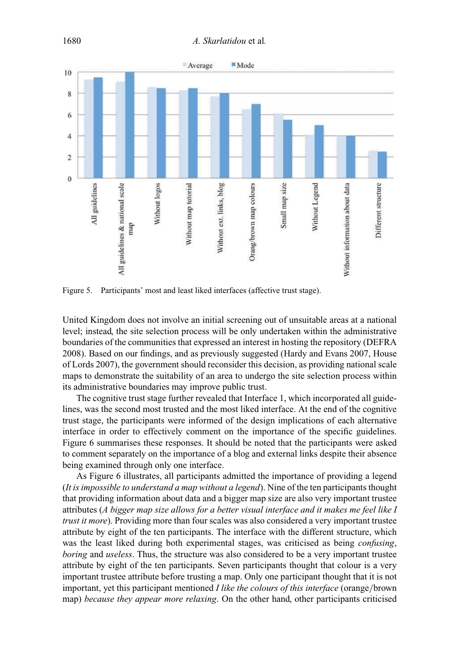![](_page_12_Figure_1.jpeg)

Figure 5. Participants' most and least liked interfaces (affective trust stage).

United Kingdom does not involve an initial screening out of unsuitable areas at a national level; instead, the site selection process will be only undertaken within the administrative boundaries of the communities that expressed an interest in hosting the repository (DEFRA 2008). Based on our findings, and as previously suggested (Hardy and Evans 2007, House of Lords 2007), the government should reconsider this decision, as providing national scale maps to demonstrate the suitability of an area to undergo the site selection process within its administrative boundaries may improve public trust.

The cognitive trust stage further revealed that Interface 1, which incorporated all guidelines, was the second most trusted and the most liked interface. At the end of the cognitive trust stage, the participants were informed of the design implications of each alternative interface in order to effectively comment on the importance of the specific guidelines. Figure 6 summarises these responses. It should be noted that the participants were asked to comment separately on the importance of a blog and external links despite their absence being examined through only one interface.

As Figure 6 illustrates, all participants admitted the importance of providing a legend (*It is impossible to understand a map without a legend*). Nine of the ten participants thought that providing information about data and a bigger map size are also very important trustee attributes (*A bigger map size allows for a better visual interface and it makes me feel like I trust it more*). Providing more than four scales was also considered a very important trustee attribute by eight of the ten participants. The interface with the different structure, which was the least liked during both experimental stages, was criticised as being *confusing*, *boring* and *useless*. Thus, the structure was also considered to be a very important trustee attribute by eight of the ten participants. Seven participants thought that colour is a very important trustee attribute before trusting a map. Only one participant thought that it is not important, yet this participant mentioned *I like the colours of this interface* (orange*/*brown map) *because they appear more relaxing*. On the other hand, other participants criticised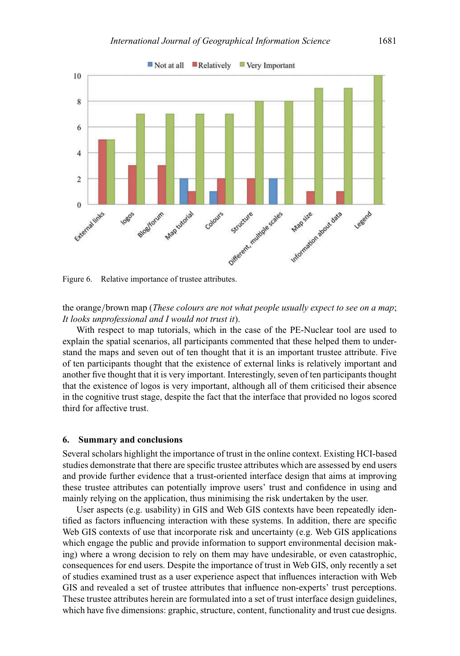![](_page_13_Figure_1.jpeg)

Figure 6. Relative importance of trustee attributes.

the orange*/*brown map (*These colours are not what people usually expect to see on a map*; *It looks unprofessional and I would not trust it*).

With respect to map tutorials, which in the case of the PE-Nuclear tool are used to explain the spatial scenarios, all participants commented that these helped them to understand the maps and seven out of ten thought that it is an important trustee attribute. Five of ten participants thought that the existence of external links is relatively important and another five thought that it is very important. Interestingly, seven of ten participants thought that the existence of logos is very important, although all of them criticised their absence in the cognitive trust stage, despite the fact that the interface that provided no logos scored third for affective trust.

# **6. Summary and conclusions**

Several scholars highlight the importance of trust in the online context. Existing HCI-based studies demonstrate that there are specific trustee attributes which are assessed by end users and provide further evidence that a trust-oriented interface design that aims at improving these trustee attributes can potentially improve users' trust and confidence in using and mainly relying on the application, thus minimising the risk undertaken by the user.

User aspects (e.g. usability) in GIS and Web GIS contexts have been repeatedly identified as factors influencing interaction with these systems. In addition, there are specific Web GIS contexts of use that incorporate risk and uncertainty (e.g. Web GIS applications which engage the public and provide information to support environmental decision making) where a wrong decision to rely on them may have undesirable, or even catastrophic, consequences for end users. Despite the importance of trust in Web GIS, only recently a set of studies examined trust as a user experience aspect that influences interaction with Web GIS and revealed a set of trustee attributes that influence non-experts' trust perceptions. These trustee attributes herein are formulated into a set of trust interface design guidelines, which have five dimensions: graphic, structure, content, functionality and trust cue designs.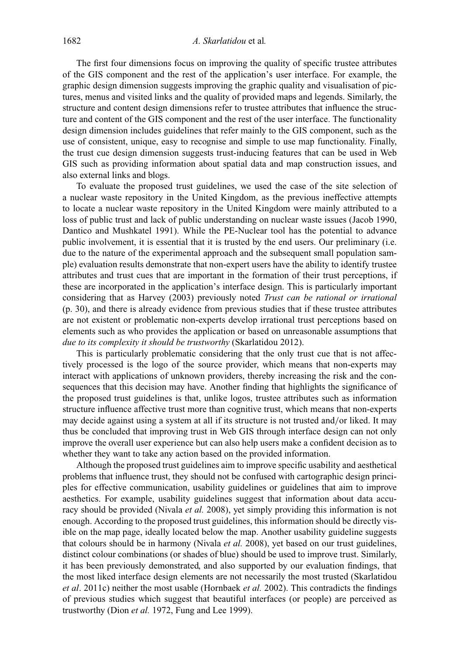The first four dimensions focus on improving the quality of specific trustee attributes of the GIS component and the rest of the application's user interface. For example, the graphic design dimension suggests improving the graphic quality and visualisation of pictures, menus and visited links and the quality of provided maps and legends. Similarly, the structure and content design dimensions refer to trustee attributes that influence the structure and content of the GIS component and the rest of the user interface. The functionality design dimension includes guidelines that refer mainly to the GIS component, such as the use of consistent, unique, easy to recognise and simple to use map functionality. Finally, the trust cue design dimension suggests trust-inducing features that can be used in Web GIS such as providing information about spatial data and map construction issues, and also external links and blogs.

To evaluate the proposed trust guidelines, we used the case of the site selection of a nuclear waste repository in the United Kingdom, as the previous ineffective attempts to locate a nuclear waste repository in the United Kingdom were mainly attributed to a loss of public trust and lack of public understanding on nuclear waste issues (Jacob 1990, Dantico and Mushkatel 1991). While the PE-Nuclear tool has the potential to advance public involvement, it is essential that it is trusted by the end users. Our preliminary (i.e. due to the nature of the experimental approach and the subsequent small population sample) evaluation results demonstrate that non-expert users have the ability to identify trustee attributes and trust cues that are important in the formation of their trust perceptions, if these are incorporated in the application's interface design. This is particularly important considering that as Harvey (2003) previously noted *Trust can be rational or irrational* (p. 30), and there is already evidence from previous studies that if these trustee attributes are not existent or problematic non-experts develop irrational trust perceptions based on elements such as who provides the application or based on unreasonable assumptions that *due to its complexity it should be trustworthy* (Skarlatidou 2012).

This is particularly problematic considering that the only trust cue that is not affectively processed is the logo of the source provider, which means that non-experts may interact with applications of unknown providers, thereby increasing the risk and the consequences that this decision may have. Another finding that highlights the significance of the proposed trust guidelines is that, unlike logos, trustee attributes such as information structure influence affective trust more than cognitive trust, which means that non-experts may decide against using a system at all if its structure is not trusted and*/*or liked. It may thus be concluded that improving trust in Web GIS through interface design can not only improve the overall user experience but can also help users make a confident decision as to whether they want to take any action based on the provided information.

Although the proposed trust guidelines aim to improve specific usability and aesthetical problems that influence trust, they should not be confused with cartographic design principles for effective communication, usability guidelines or guidelines that aim to improve aesthetics. For example, usability guidelines suggest that information about data accuracy should be provided (Nivala *et al.* 2008), yet simply providing this information is not enough. According to the proposed trust guidelines, this information should be directly visible on the map page, ideally located below the map. Another usability guideline suggests that colours should be in harmony (Nivala *et al.* 2008), yet based on our trust guidelines, distinct colour combinations (or shades of blue) should be used to improve trust. Similarly, it has been previously demonstrated, and also supported by our evaluation findings, that the most liked interface design elements are not necessarily the most trusted (Skarlatidou *et al*. 2011c) neither the most usable (Hornbaek *et al.* 2002). This contradicts the findings of previous studies which suggest that beautiful interfaces (or people) are perceived as trustworthy (Dion *et al.* 1972, Fung and Lee 1999).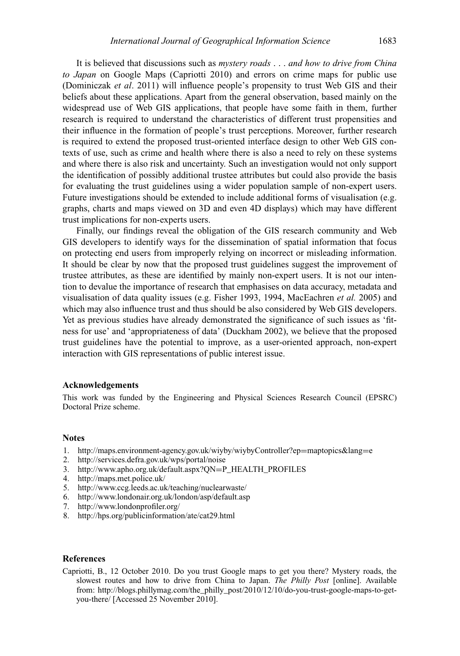It is believed that discussions such as *mystery roads ... and how to drive from China to Japan* on Google Maps (Capriotti 2010) and errors on crime maps for public use (Dominiczak *et al*. 2011) will influence people's propensity to trust Web GIS and their beliefs about these applications. Apart from the general observation, based mainly on the widespread use of Web GIS applications, that people have some faith in them, further research is required to understand the characteristics of different trust propensities and their influence in the formation of people's trust perceptions. Moreover, further research is required to extend the proposed trust-oriented interface design to other Web GIS contexts of use, such as crime and health where there is also a need to rely on these systems and where there is also risk and uncertainty. Such an investigation would not only support the identification of possibly additional trustee attributes but could also provide the basis for evaluating the trust guidelines using a wider population sample of non-expert users. Future investigations should be extended to include additional forms of visualisation (e.g. graphs, charts and maps viewed on 3D and even 4D displays) which may have different trust implications for non-experts users.

Finally, our findings reveal the obligation of the GIS research community and Web GIS developers to identify ways for the dissemination of spatial information that focus on protecting end users from improperly relying on incorrect or misleading information. It should be clear by now that the proposed trust guidelines suggest the improvement of trustee attributes, as these are identified by mainly non-expert users. It is not our intention to devalue the importance of research that emphasises on data accuracy, metadata and visualisation of data quality issues (e.g. Fisher 1993, 1994, MacEachren *et al.* 2005) and which may also influence trust and thus should be also considered by Web GIS developers. Yet as previous studies have already demonstrated the significance of such issues as 'fitness for use' and 'appropriateness of data' (Duckham 2002), we believe that the proposed trust guidelines have the potential to improve, as a user-oriented approach, non-expert interaction with GIS representations of public interest issue.

#### **Acknowledgements**

This work was funded by the Engineering and Physical Sciences Research Council (EPSRC) Doctoral Prize scheme.

### **Notes**

- 1. http://maps.environment-agency.gov.uk/wiyby/wiybyController?ep=maptopics&lang=e
- 2. http://services.defra.gov.uk/wps/portal/noise
- 3. http://www.apho.org.uk/default.aspx?QN=P\_HEALTH\_PROFILES
- 4. http://maps.met.police.uk/
- 5. http://www.ccg.leeds.ac.uk/teaching/nuclearwaste/
- 6. http://www.londonair.org.uk/london/asp/default.asp
- 7. http://www.londonprofiler.org/
- 8. http://hps.org/publicinformation/ate/cat29.html

# **References**

Capriotti, B., 12 October 2010. Do you trust Google maps to get you there? Mystery roads, the slowest routes and how to drive from China to Japan. *The Philly Post* [online]. Available from: http://blogs.phillymag.com/the\_philly\_post/2010/12/10/do-you-trust-google-maps-to-getyou-there/ [Accessed 25 November 2010].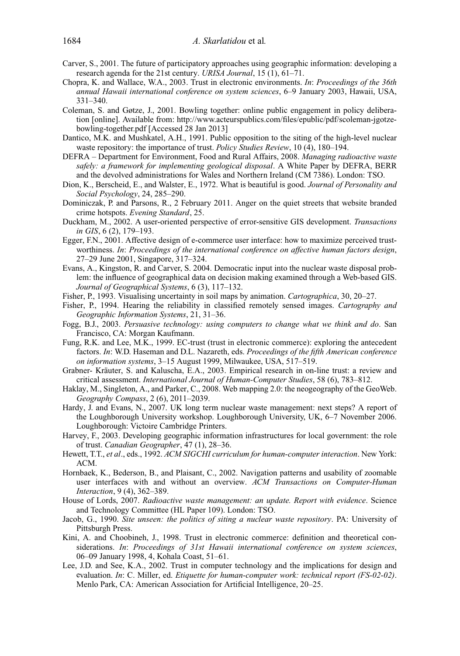- Carver, S., 2001. The future of participatory approaches using geographic information: developing a research agenda for the 21st century. *URISA Journal*, 15 (1), 61–71.
- Chopra, K. and Wallace, W.A., 2003. Trust in electronic environments. *In*: *Proceedings of the 36th annual Hawaii international conference on system sciences*, 6–9 January 2003, Hawaii, USA, 331–340.
- Coleman, S. and Gøtze, J., 2001. Bowling together: online public engagement in policy deliberation [online]. Available from: http://www.acteurspublics.com/files/epublic/pdf/scoleman-jgotzebowling-together.pdf [Accessed 28 Jan 2013]
- Dantico, M.K. and Mushkatel, A.H., 1991. Public opposition to the siting of the high-level nuclear waste repository: the importance of trust. *Policy Studies Review*, 10 (4), 180–194.
- DEFRA Department for Environment, Food and Rural Affairs, 2008. *Managing radioactive waste safely: a framework for implementing geological disposal*. A White Paper by DEFRA, BERR and the devolved administrations for Wales and Northern Ireland (CM 7386). London: TSO.
- Dion, K., Berscheid, E., and Walster, E., 1972. What is beautiful is good. *Journal of Personality and Social Psychology*, 24, 285–290.
- Dominiczak, P. and Parsons, R., 2 February 2011. Anger on the quiet streets that website branded crime hotspots. *Evening Standard*, 25.
- Duckham, M., 2002. A user-oriented perspective of error-sensitive GIS development. *Transactions in GIS*, 6 (2), 179–193.
- Egger, F.N., 2001. Affective design of e-commerce user interface: how to maximize perceived trustworthiness. *In*: *Proceedings of the international conference on affective human factors design*, 27–29 June 2001, Singapore, 317–324.
- Evans, A., Kingston, R. and Carver, S. 2004. Democratic input into the nuclear waste disposal problem: the influence of geographical data on decision making examined through a Web-based GIS. *Journal of Geographical Systems*, 6 (3), 117–132.
- Fisher, P., 1993. Visualising uncertainty in soil maps by animation. *Cartographica*, 30, 20–27.
- Fisher, P., 1994. Hearing the reliability in classified remotely sensed images. *Cartography and Geographic Information Systems*, 21, 31–36.
- Fogg, B.J., 2003. *Persuasive technology: using computers to change what we think and do*. San Francisco, CA: Morgan Kaufmann.
- Fung, R.K. and Lee, M.K., 1999. EC-trust (trust in electronic commerce): exploring the antecedent factors. *In*: W.D. Haseman and D.L. Nazareth, eds. *Proceedings of the fifth American conference on information systems*, 3–15 August 1999, Milwaukee, USA, 517–519.
- Grabner- Kräuter, S. and Kaluscha, E.A., 2003. Empirical research in on-line trust: a review and critical assessment. *International Journal of Human-Computer Studies*, 58 (6), 783–812.
- Haklay, M., Singleton, A., and Parker, C., 2008. Web mapping 2.0: the neogeography of the GeoWeb. *Geography Compass*, 2 (6), 2011–2039.
- Hardy, J. and Evans, N., 2007. UK long term nuclear waste management: next steps? A report of the Loughborough University workshop. Loughborough University, UK, 6–7 November 2006. Loughborough: Victoire Cambridge Printers.
- Harvey, F., 2003. Developing geographic information infrastructures for local government: the role of trust. *Canadian Geographer*, 47 (1), 28–36.
- Hewett, T.T., *et al*., eds., 1992. *ACM SIGCHI curriculum for human-computer interaction*. New York: ACM.
- Hornbaek, K., Bederson, B., and Plaisant, C., 2002. Navigation patterns and usability of zoomable user interfaces with and without an overview. *ACM Transactions on Computer-Human Interaction*, 9 (4), 362–389.
- House of Lords, 2007. *Radioactive waste management: an update. Report with evidence*. Science and Technology Committee (HL Paper 109). London: TSO.
- Jacob, G., 1990. *Site unseen: the politics of siting a nuclear waste repository*. PA: University of Pittsburgh Press.
- Kini, A. and Choobineh, J., 1998. Trust in electronic commerce: definition and theoretical considerations. *In*: *Proceedings of 31st Hawaii international conference on system sciences*, 06–09 January 1998, 4, Kohala Coast, 51–61.
- Lee, J.D. and See, K.A., 2002. Trust in computer technology and the implications for design and evaluation. *In*: C. Miller, ed. *Etiquette for human-computer work: technical report (FS-02-02)*. Menlo Park, CA: American Association for Artificial Intelligence, 20–25.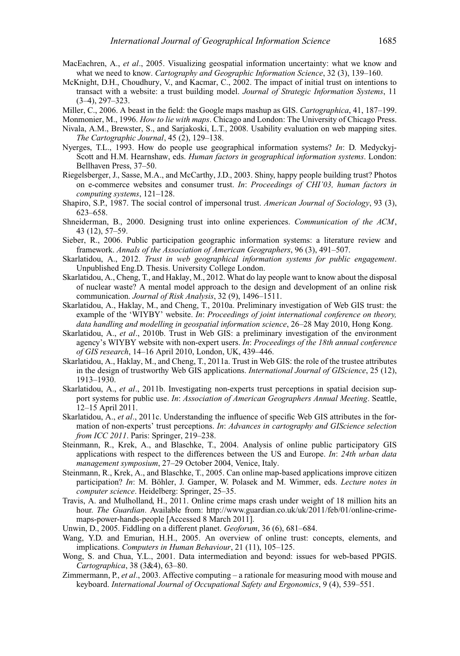- MacEachren, A., *et al*., 2005. Visualizing geospatial information uncertainty: what we know and what we need to know. *Cartography and Geographic Information Science*, 32 (3), 139–160.
- McKnight, D.H., Choudhury, V., and Kacmar, C., 2002. The impact of initial trust on intentions to transact with a website: a trust building model. *Journal of Strategic Information Systems*, 11 (3–4), 297–323.
- Miller, C., 2006. A beast in the field: the Google maps mashup as GIS. *Cartographica*, 41, 187–199.
- Monmonier, M., 1996. *How to lie with maps*. Chicago and London: The University of Chicago Press. Nivala, A.M., Brewster, S., and Sarjakoski, L.T., 2008. Usability evaluation on web mapping sites.
- *The Cartographic Journal*, 45 (2), 129–138.
- Nyerges, T.L., 1993. How do people use geographical information systems? *In*: D. Medyckyj-Scott and H.M. Hearnshaw, eds. *Human factors in geographical information systems*. London: Bellhaven Press, 37–50.
- Riegelsberger, J., Sasse, M.A., and McCarthy, J.D., 2003. Shiny, happy people building trust? Photos on e-commerce websites and consumer trust. *In*: *Proceedings of CHI'03, human factors in computing systems*, 121–128.
- Shapiro, S.P., 1987. The social control of impersonal trust. *American Journal of Sociology*, 93 (3), 623–658.
- Shneiderman, B., 2000. Designing trust into online experiences. *Communication of the ACM*, 43 (12), 57–59.
- Sieber, R., 2006. Public participation geographic information systems: a literature review and framework. *Annals of the Association of American Geographers*, 96 (3), 491–507.
- Skarlatidou, A., 2012. *Trust in web geographical information systems for public engagement*. Unpublished Eng.D. Thesis. University College London.
- Skarlatidou, A., Cheng, T., and Haklay, M., 2012. What do lay people want to know about the disposal of nuclear waste? A mental model approach to the design and development of an online risk communication. *Journal of Risk Analysis*, 32 (9), 1496–1511.
- Skarlatidou, A., Haklay, M., and Cheng, T., 2010a. Preliminary investigation of Web GIS trust: the example of the 'WIYBY' website. *In*: *Proceedings of joint international conference on theory, data handling and modelling in geospatial information science*, 26–28 May 2010, Hong Kong.
- Skarlatidou, A., *et al*., 2010b. Trust in Web GIS: a preliminary investigation of the environment agency's WIYBY website with non-expert users. *In*: *Proceedings of the 18th annual conference of GIS research*, 14–16 April 2010, London, UK, 439–446.
- Skarlatidou, A., Haklay, M., and Cheng, T., 2011a. Trust in Web GIS: the role of the trustee attributes in the design of trustworthy Web GIS applications. *International Journal of GIScience*, 25 (12), 1913–1930.
- Skarlatidou, A., *et al*., 2011b. Investigating non-experts trust perceptions in spatial decision support systems for public use. *In*: *Association of American Geographers Annual Meeting*. Seattle, 12–15 April 2011.
- Skarlatidou, A., *et al*., 2011c. Understanding the influence of specific Web GIS attributes in the formation of non-experts' trust perceptions. *In*: *Advances in cartography and GIScience selection from ICC 2011*. Paris: Springer, 219–238.
- Steinmann, R., Krek, A., and Blaschke, T., 2004. Analysis of online public participatory GIS applications with respect to the differences between the US and Europe. *In*: *24th urban data management symposium*, 27–29 October 2004, Venice, Italy.
- Steinmann, R., Krek, A., and Blaschke, T., 2005. Can online map-based applications improve citizen participation? *In*: M. Böhler, J. Gamper, W. Polasek and M. Wimmer, eds. *Lecture notes in computer science*. Heidelberg: Springer, 25–35.
- Travis, A. and Mulholland, H., 2011. Online crime maps crash under weight of 18 million hits an hour. *The Guardian*. Available from: http://www.guardian.co.uk/uk/2011/feb/01/online-crimemaps-power-hands-people [Accessed 8 March 2011].
- Unwin, D., 2005. Fiddling on a different planet. *Geoforum*, 36 (6), 681–684.
- Wang, Y.D. and Emurian, H.H., 2005. An overview of online trust: concepts, elements, and implications. *Computers in Human Behaviour*, 21 (11), 105–125.
- Wong, S. and Chua, Y.L., 2001. Data intermediation and beyond: issues for web-based PPGIS. *Cartographica*, 38 (3&4), 63–80.
- Zimmermann, P., *et al*., 2003. Affective computing a rationale for measuring mood with mouse and keyboard. *International Journal of Occupational Safety and Ergonomics*, 9 (4), 539–551.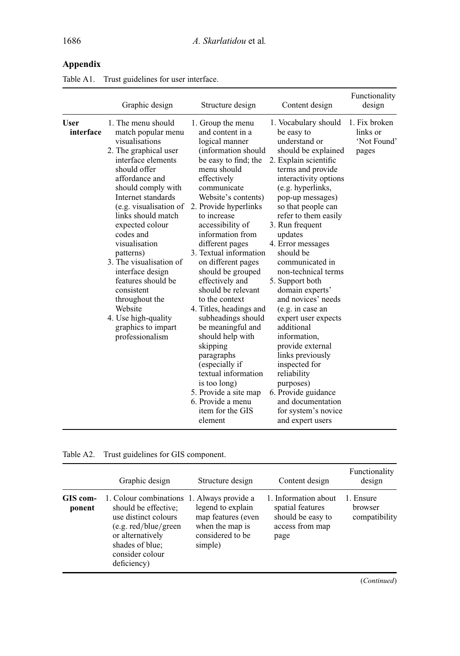# **Appendix**

| Table A1. | Trust guidelines for user interface. |  |  |
|-----------|--------------------------------------|--|--|
|-----------|--------------------------------------|--|--|

|                          | Graphic design                                                                                                                                                                                                                                                                                                                                                                                                                                                                        | Structure design                                                                                                                                                                                                                                                                                                                                                                                                                                                                                                                                                                                                                                                         | Content design                                                                                                                                                                                                                                                                                                                                                                                                                                                                                                                                                                                                                                                      | Functionality<br>design                           |
|--------------------------|---------------------------------------------------------------------------------------------------------------------------------------------------------------------------------------------------------------------------------------------------------------------------------------------------------------------------------------------------------------------------------------------------------------------------------------------------------------------------------------|--------------------------------------------------------------------------------------------------------------------------------------------------------------------------------------------------------------------------------------------------------------------------------------------------------------------------------------------------------------------------------------------------------------------------------------------------------------------------------------------------------------------------------------------------------------------------------------------------------------------------------------------------------------------------|---------------------------------------------------------------------------------------------------------------------------------------------------------------------------------------------------------------------------------------------------------------------------------------------------------------------------------------------------------------------------------------------------------------------------------------------------------------------------------------------------------------------------------------------------------------------------------------------------------------------------------------------------------------------|---------------------------------------------------|
| <b>User</b><br>interface | 1. The menu should<br>match popular menu<br>visualisations<br>2. The graphical user<br>interface elements<br>should offer<br>affordance and<br>should comply with<br>Internet standards<br>(e.g. visualisation of<br>links should match<br>expected colour<br>codes and<br>visualisation<br>patterns)<br>3. The visualisation of<br>interface design<br>features should be<br>consistent<br>throughout the<br>Website<br>4. Use high-quality<br>graphics to impart<br>professionalism | 1. Group the menu<br>and content in a<br>logical manner<br>(information should)<br>be easy to find; the<br>menu should<br>effectively<br>communicate<br>Website's contents)<br>2. Provide hyperlinks<br>to increase<br>accessibility of<br>information from<br>different pages<br>3. Textual information<br>on different pages<br>should be grouped<br>effectively and<br>should be relevant<br>to the context<br>4. Titles, headings and<br>subheadings should<br>be meaningful and<br>should help with<br>skipping<br>paragraphs<br>(especially if<br>textual information<br>is too long)<br>5. Provide a site map<br>6. Provide a menu<br>item for the GIS<br>element | 1. Vocabulary should<br>be easy to<br>understand or<br>should be explained<br>2. Explain scientific<br>terms and provide<br>interactivity options<br>(e.g. hyperlinks,<br>pop-up messages)<br>so that people can<br>refer to them easily<br>3. Run frequent<br>updates<br>4. Error messages<br>should be<br>communicated in<br>non-technical terms<br>5. Support both<br>domain experts'<br>and novices' needs<br>(e.g. in case an<br>expert user expects<br>additional<br>information,<br>provide external<br>links previously<br>inspected for<br>reliability<br>purposes)<br>6. Provide guidance<br>and documentation<br>for system's novice<br>and expert users | 1. Fix broken<br>links or<br>'Not Found'<br>pages |

Table A2. Trust guidelines for GIS component.

|                    | Graphic design                                                                                                                                                                               | Structure design                                                                          | Content design                                                                           | Functionality<br>design               |
|--------------------|----------------------------------------------------------------------------------------------------------------------------------------------------------------------------------------------|-------------------------------------------------------------------------------------------|------------------------------------------------------------------------------------------|---------------------------------------|
| GIS com-<br>ponent | 1. Colour combinations 1. Always provide a<br>should be effective;<br>use distinct colours<br>(e.g. red/blue/green)<br>or alternatively<br>shades of blue:<br>consider colour<br>deficiency) | legend to explain<br>map features (even<br>when the map is<br>considered to be<br>simple) | 1. Information about<br>spatial features<br>should be easy to<br>access from map<br>page | 1. Ensure<br>browser<br>compatibility |

(*Continued*)